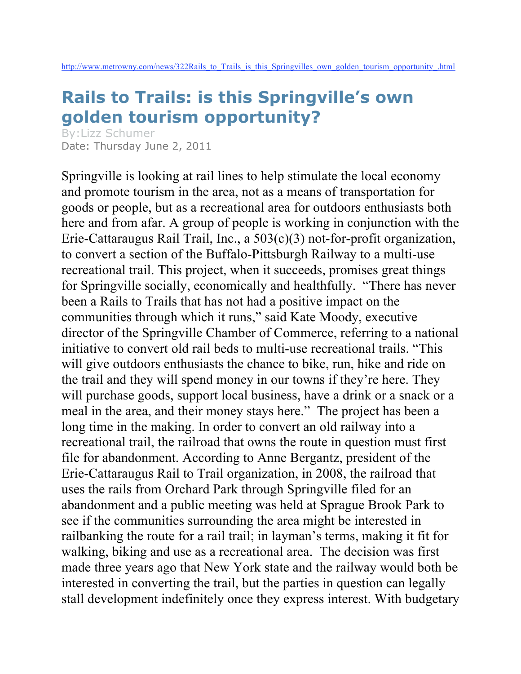## **Rails to Trails: is this Springville's own golden tourism opportunity?**

By:Lizz Schumer Date: Thursday June 2, 2011

Springville is looking at rail lines to help stimulate the local economy and promote tourism in the area, not as a means of transportation for goods or people, but as a recreational area for outdoors enthusiasts both here and from afar. A group of people is working in conjunction with the Erie-Cattaraugus Rail Trail, Inc., a 503(c)(3) not-for-profit organization, to convert a section of the Buffalo-Pittsburgh Railway to a multi-use recreational trail. This project, when it succeeds, promises great things for Springville socially, economically and healthfully. "There has never been a Rails to Trails that has not had a positive impact on the communities through which it runs," said Kate Moody, executive director of the Springville Chamber of Commerce, referring to a national initiative to convert old rail beds to multi-use recreational trails. "This will give outdoors enthusiasts the chance to bike, run, hike and ride on the trail and they will spend money in our towns if they're here. They will purchase goods, support local business, have a drink or a snack or a meal in the area, and their money stays here." The project has been a long time in the making. In order to convert an old railway into a recreational trail, the railroad that owns the route in question must first file for abandonment. According to Anne Bergantz, president of the Erie-Cattaraugus Rail to Trail organization, in 2008, the railroad that uses the rails from Orchard Park through Springville filed for an abandonment and a public meeting was held at Sprague Brook Park to see if the communities surrounding the area might be interested in railbanking the route for a rail trail; in layman's terms, making it fit for walking, biking and use as a recreational area. The decision was first made three years ago that New York state and the railway would both be interested in converting the trail, but the parties in question can legally stall development indefinitely once they express interest. With budgetary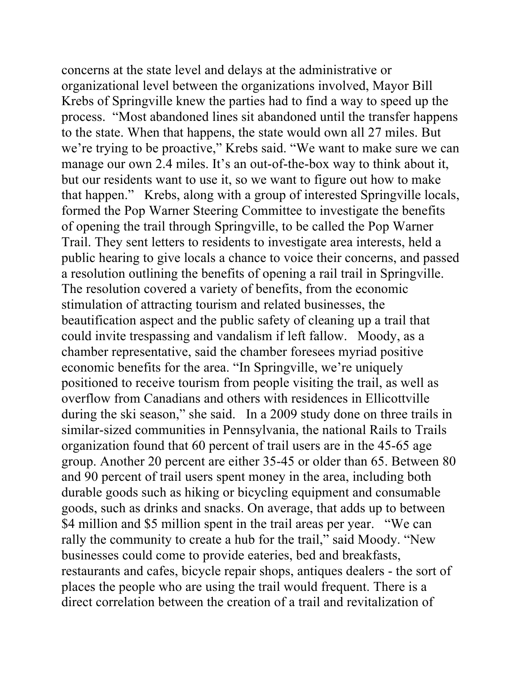concerns at the state level and delays at the administrative or organizational level between the organizations involved, Mayor Bill Krebs of Springville knew the parties had to find a way to speed up the process. "Most abandoned lines sit abandoned until the transfer happens to the state. When that happens, the state would own all 27 miles. But we're trying to be proactive," Krebs said. "We want to make sure we can manage our own 2.4 miles. It's an out-of-the-box way to think about it, but our residents want to use it, so we want to figure out how to make that happen." Krebs, along with a group of interested Springville locals, formed the Pop Warner Steering Committee to investigate the benefits of opening the trail through Springville, to be called the Pop Warner Trail. They sent letters to residents to investigate area interests, held a public hearing to give locals a chance to voice their concerns, and passed a resolution outlining the benefits of opening a rail trail in Springville. The resolution covered a variety of benefits, from the economic stimulation of attracting tourism and related businesses, the beautification aspect and the public safety of cleaning up a trail that could invite trespassing and vandalism if left fallow. Moody, as a chamber representative, said the chamber foresees myriad positive economic benefits for the area. "In Springville, we're uniquely positioned to receive tourism from people visiting the trail, as well as overflow from Canadians and others with residences in Ellicottville during the ski season," she said. In a 2009 study done on three trails in similar-sized communities in Pennsylvania, the national Rails to Trails organization found that 60 percent of trail users are in the 45-65 age group. Another 20 percent are either 35-45 or older than 65. Between 80 and 90 percent of trail users spent money in the area, including both durable goods such as hiking or bicycling equipment and consumable goods, such as drinks and snacks. On average, that adds up to between \$4 million and \$5 million spent in the trail areas per year. "We can rally the community to create a hub for the trail," said Moody. "New businesses could come to provide eateries, bed and breakfasts, restaurants and cafes, bicycle repair shops, antiques dealers - the sort of places the people who are using the trail would frequent. There is a direct correlation between the creation of a trail and revitalization of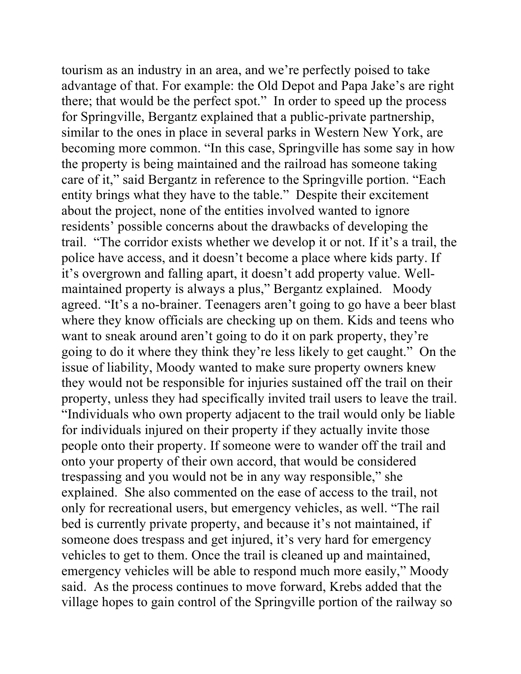tourism as an industry in an area, and we're perfectly poised to take advantage of that. For example: the Old Depot and Papa Jake's are right there; that would be the perfect spot." In order to speed up the process for Springville, Bergantz explained that a public-private partnership, similar to the ones in place in several parks in Western New York, are becoming more common. "In this case, Springville has some say in how the property is being maintained and the railroad has someone taking care of it," said Bergantz in reference to the Springville portion. "Each entity brings what they have to the table." Despite their excitement about the project, none of the entities involved wanted to ignore residents' possible concerns about the drawbacks of developing the trail. "The corridor exists whether we develop it or not. If it's a trail, the police have access, and it doesn't become a place where kids party. If it's overgrown and falling apart, it doesn't add property value. Wellmaintained property is always a plus," Bergantz explained. Moody agreed. "It's a no-brainer. Teenagers aren't going to go have a beer blast where they know officials are checking up on them. Kids and teens who want to sneak around aren't going to do it on park property, they're going to do it where they think they're less likely to get caught." On the issue of liability, Moody wanted to make sure property owners knew they would not be responsible for injuries sustained off the trail on their property, unless they had specifically invited trail users to leave the trail. "Individuals who own property adjacent to the trail would only be liable for individuals injured on their property if they actually invite those people onto their property. If someone were to wander off the trail and onto your property of their own accord, that would be considered trespassing and you would not be in any way responsible," she explained. She also commented on the ease of access to the trail, not only for recreational users, but emergency vehicles, as well. "The rail bed is currently private property, and because it's not maintained, if someone does trespass and get injured, it's very hard for emergency vehicles to get to them. Once the trail is cleaned up and maintained, emergency vehicles will be able to respond much more easily," Moody said. As the process continues to move forward, Krebs added that the village hopes to gain control of the Springville portion of the railway so